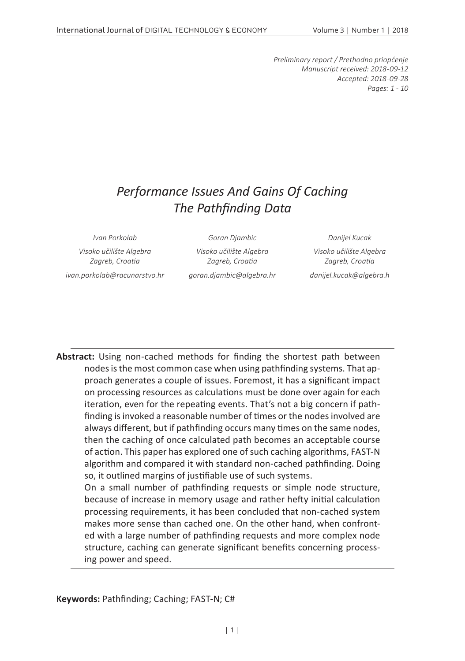*Preliminary report / Prethodno priopćenje Manuscript received: 2018-09-12 Accepted: 2018-09-28 Pages: 1 - 10*

# *Performance Issues And Gains Of Caching The Pathfinding Data*

*Visoko učilište Algebra Zagreb, Croatia*

*Ivan Porkolab Goran Djambic Danijel Kucak*

*Visoko učilište Algebra Zagreb, Croatia*

*ivan.porkolab@racunarstvo.hr goran.djambic@algebra.hr danijel.kucak@algebra.h*

*Visoko učilište Algebra Zagreb, Croatia*

**Abstract:** Using non-cached methods for finding the shortest path between nodes is the most common case when using pathfinding systems. That approach generates a couple of issues. Foremost, it has a significant impact on processing resources as calculations must be done over again for each iteration, even for the repeating events. That's not a big concern if pathfinding is invoked a reasonable number of times or the nodes involved are always different, but if pathfinding occurs many times on the same nodes, then the caching of once calculated path becomes an acceptable course of action. This paper has explored one of such caching algorithms, FAST-N algorithm and compared it with standard non-cached pathfinding. Doing so, it outlined margins of justifiable use of such systems.

On a small number of pathfinding requests or simple node structure, because of increase in memory usage and rather hefty initial calculation processing requirements, it has been concluded that non-cached system makes more sense than cached one. On the other hand, when confronted with a large number of pathfinding requests and more complex node structure, caching can generate significant benefits concerning processing power and speed.

**Keywords:** Pathfinding; Caching; FAST-N; C#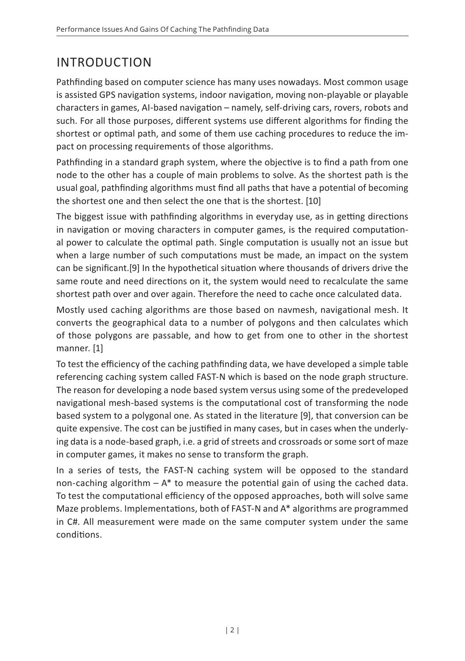# INTRODUCTION

Pathfinding based on computer science has many uses nowadays. Most common usage is assisted GPS navigation systems, indoor navigation, moving non-playable or playable characters in games, AI-based navigation – namely, self-driving cars, rovers, robots and such. For all those purposes, different systems use different algorithms for finding the shortest or optimal path, and some of them use caching procedures to reduce the impact on processing requirements of those algorithms.

Pathfinding in a standard graph system, where the objective is to find a path from one node to the other has a couple of main problems to solve. As the shortest path is the usual goal, pathfinding algorithms must find all paths that have a potential of becoming the shortest one and then select the one that is the shortest. [10]

The biggest issue with pathfinding algorithms in everyday use, as in getting directions in navigation or moving characters in computer games, is the required computational power to calculate the optimal path. Single computation is usually not an issue but when a large number of such computations must be made, an impact on the system can be significant.[9] In the hypothetical situation where thousands of drivers drive the same route and need directions on it, the system would need to recalculate the same shortest path over and over again. Therefore the need to cache once calculated data.

Mostly used caching algorithms are those based on navmesh, navigational mesh. It converts the geographical data to a number of polygons and then calculates which of those polygons are passable, and how to get from one to other in the shortest manner. [1]

To test the efficiency of the caching pathfinding data, we have developed a simple table referencing caching system called FAST-N which is based on the node graph structure. The reason for developing a node based system versus using some of the predeveloped navigational mesh-based systems is the computational cost of transforming the node based system to a polygonal one. As stated in the literature [9], that conversion can be quite expensive. The cost can be justified in many cases, but in cases when the underlying data is a node-based graph, i.e. a grid of streets and crossroads or some sort of maze in computer games, it makes no sense to transform the graph.

In a series of tests, the FAST-N caching system will be opposed to the standard non-caching algorithm  $-A^*$  to measure the potential gain of using the cached data. To test the computational efficiency of the opposed approaches, both will solve same Maze problems. Implementations, both of FAST-N and A\* algorithms are programmed in C#. All measurement were made on the same computer system under the same conditions.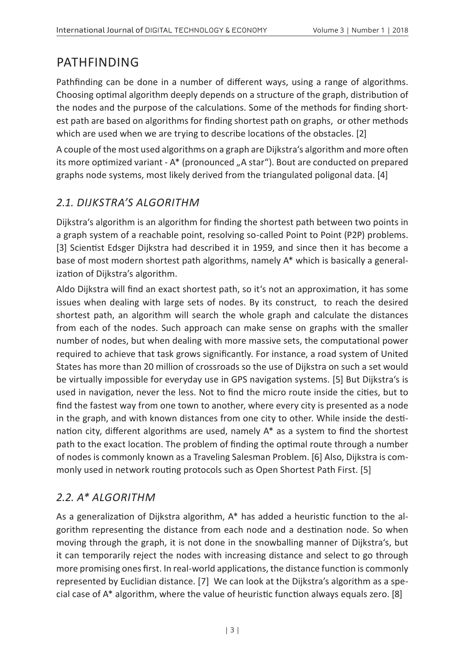# PATHFINDING

Pathfinding can be done in a number of different ways, using a range of algorithms. Choosing optimal algorithm deeply depends on a structure of the graph, distribution of the nodes and the purpose of the calculations. Some of the methods for finding shortest path are based on algorithms for finding shortest path on graphs, or other methods which are used when we are trying to describe locations of the obstacles. [2]

A couple of the most used algorithms on a graph are Dijkstra's algorithm and more often its more optimized variant - A\* (pronounced ..A star"). Bout are conducted on prepared graphs node systems, most likely derived from the triangulated poligonal data. [4]

### *2.1. DIJKSTRA'S ALGORITHM*

Dijkstra's algorithm is an algorithm for finding the shortest path between two points in a graph system of a reachable point, resolving so-called Point to Point (P2P) problems. [3] Scientist Edsger Dijkstra had described it in 1959, and since then it has become a base of most modern shortest path algorithms, namely A\* which is basically a generalization of Dijkstra's algorithm.

Aldo Dijkstra will find an exact shortest path, so it's not an approximation, it has some issues when dealing with large sets of nodes. By its construct, to reach the desired shortest path, an algorithm will search the whole graph and calculate the distances from each of the nodes. Such approach can make sense on graphs with the smaller number of nodes, but when dealing with more massive sets, the computational power required to achieve that task grows significantly. For instance, a road system of United States has more than 20 million of crossroads so the use of Dijkstra on such a set would be virtually impossible for everyday use in GPS navigation systems. [5] But Dijkstra's is used in navigation, never the less. Not to find the micro route inside the cities, but to find the fastest way from one town to another, where every city is presented as a node in the graph, and with known distances from one city to other. While inside the destination city, different algorithms are used, namely A\* as a system to find the shortest path to the exact location. The problem of finding the optimal route through a number of nodes is commonly known as a Traveling Salesman Problem. [6] Also, Dijkstra is commonly used in network routing protocols such as Open Shortest Path First. [5]

### *2.2. A\* ALGORITHM*

As a generalization of Dijkstra algorithm, A\* has added a heuristic function to the algorithm representing the distance from each node and a destination node. So when moving through the graph, it is not done in the snowballing manner of Dijkstra's, but it can temporarily reject the nodes with increasing distance and select to go through more promising ones first. In real-world applications, the distance function is commonly represented by Euclidian distance. [7] We can look at the Dijkstra's algorithm as a special case of A\* algorithm, where the value of heuristic function always equals zero. [8]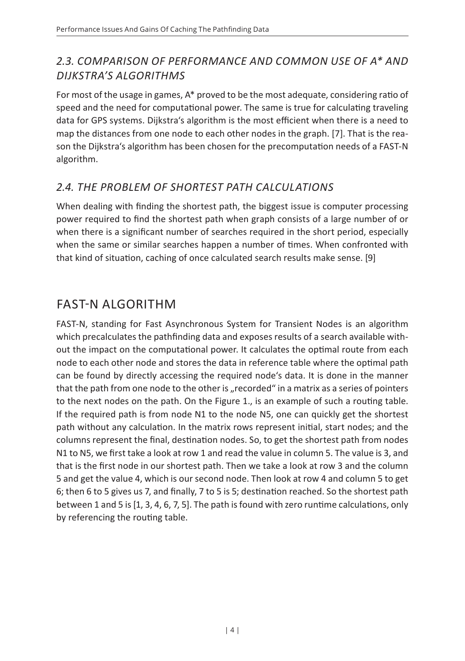### *2.3. COMPARISON OF PERFORMANCE AND COMMON USE OF A\* AND DIJKSTRA'S ALGORITHMS*

For most of the usage in games, A\* proved to be the most adequate, considering ratio of speed and the need for computational power. The same is true for calculating traveling data for GPS systems. Dijkstra's algorithm is the most efficient when there is a need to map the distances from one node to each other nodes in the graph. [7]. That is the reason the Dijkstra's algorithm has been chosen for the precomputation needs of a FAST-N algorithm.

### *2.4. THE PROBLEM OF SHORTEST PATH CALCULATIONS*

When dealing with finding the shortest path, the biggest issue is computer processing power required to find the shortest path when graph consists of a large number of or when there is a significant number of searches required in the short period, especially when the same or similar searches happen a number of times. When confronted with that kind of situation, caching of once calculated search results make sense. [9]

## FAST-N ALGORITHM

FAST-N, standing for Fast Asynchronous System for Transient Nodes is an algorithm which precalculates the pathfinding data and exposes results of a search available without the impact on the computational power. It calculates the optimal route from each node to each other node and stores the data in reference table where the optimal path can be found by directly accessing the required node's data. It is done in the manner that the path from one node to the other is "recorded" in a matrix as a series of pointers to the next nodes on the path. On the Figure 1., is an example of such a routing table. If the required path is from node N1 to the node N5, one can quickly get the shortest path without any calculation. In the matrix rows represent initial, start nodes; and the columns represent the final, destination nodes. So, to get the shortest path from nodes N1 to N5, we first take a look at row 1 and read the value in column 5. The value is 3, and that is the first node in our shortest path. Then we take a look at row 3 and the column 5 and get the value 4, which is our second node. Then look at row 4 and column 5 to get 6; then 6 to 5 gives us 7, and finally, 7 to 5 is 5; destination reached. So the shortest path between 1 and 5 is [1, 3, 4, 6, 7, 5]. The path is found with zero runtime calculations, only by referencing the routing table.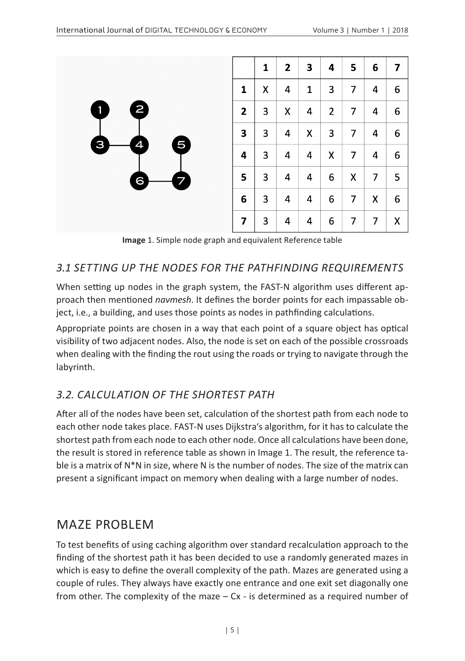

**Image** 1. Simple node graph and equivalent Reference table

#### *3.1 SETTING UP THE NODES FOR THE PATHFINDING REQUIREMENTS*

When setting up nodes in the graph system, the FAST-N algorithm uses different approach then mentioned *navmesh*. It defines the border points for each impassable object, i.e., a building, and uses those points as nodes in pathfinding calculations.

Appropriate points are chosen in a way that each point of a square object has optical visibility of two adjacent nodes. Also, the node is set on each of the possible crossroads when dealing with the finding the rout using the roads or trying to navigate through the labyrinth.

#### *3.2. CALCULATION OF THE SHORTEST PATH*

After all of the nodes have been set, calculation of the shortest path from each node to each other node takes place. FAST-N uses Dijkstra's algorithm, for it has to calculate the shortest path from each node to each other node. Once all calculations have been done, the result is stored in reference table as shown in Image 1. The result, the reference table is a matrix of N\*N in size, where N is the number of nodes. The size of the matrix can present a significant impact on memory when dealing with a large number of nodes.

### MAZE PROBLEM

To test benefits of using caching algorithm over standard recalculation approach to the finding of the shortest path it has been decided to use a randomly generated mazes in which is easy to define the overall complexity of the path. Mazes are generated using a couple of rules. They always have exactly one entrance and one exit set diagonally one from other. The complexity of the maze  $-$  Cx - is determined as a required number of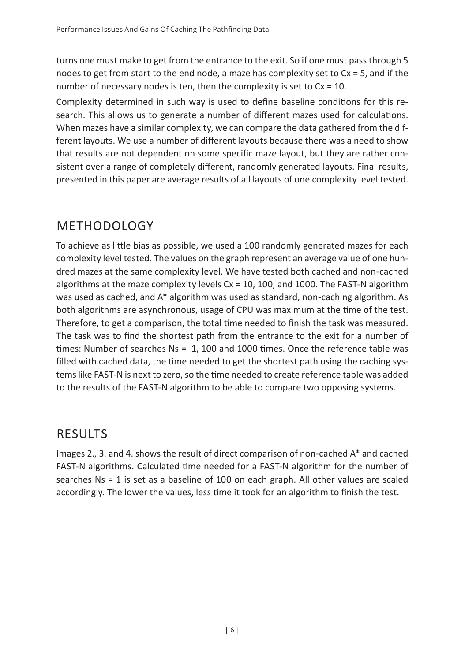turns one must make to get from the entrance to the exit. So if one must pass through 5 nodes to get from start to the end node, a maze has complexity set to Cx = 5, and if the number of necessary nodes is ten, then the complexity is set to  $Cx = 10$ .

Complexity determined in such way is used to define baseline conditions for this research. This allows us to generate a number of different mazes used for calculations. When mazes have a similar complexity, we can compare the data gathered from the different layouts. We use a number of different layouts because there was a need to show that results are not dependent on some specific maze layout, but they are rather consistent over a range of completely different, randomly generated layouts. Final results, presented in this paper are average results of all layouts of one complexity level tested.

# METHODOLOGY

To achieve as little bias as possible, we used a 100 randomly generated mazes for each complexity level tested. The values on the graph represent an average value of one hundred mazes at the same complexity level. We have tested both cached and non-cached algorithms at the maze complexity levels Cx = 10, 100, and 1000. The FAST-N algorithm was used as cached, and A\* algorithm was used as standard, non-caching algorithm. As both algorithms are asynchronous, usage of CPU was maximum at the time of the test. Therefore, to get a comparison, the total time needed to finish the task was measured. The task was to find the shortest path from the entrance to the exit for a number of times: Number of searches Ns = 1, 100 and 1000 times. Once the reference table was filled with cached data, the time needed to get the shortest path using the caching systems like FAST-N is next to zero, so the time needed to create reference table was added to the results of the FAST-N algorithm to be able to compare two opposing systems.

## **RESULTS**

Images 2., 3. and 4. shows the result of direct comparison of non-cached A\* and cached FAST-N algorithms. Calculated time needed for a FAST-N algorithm for the number of searches Ns = 1 is set as a baseline of 100 on each graph. All other values are scaled accordingly. The lower the values, less time it took for an algorithm to finish the test.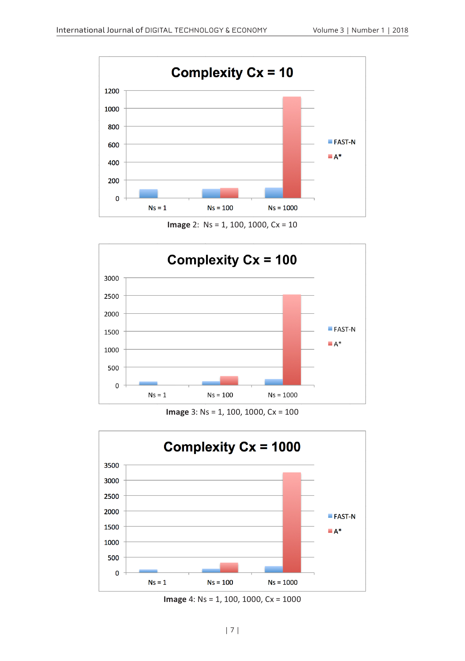

**Image** 2: Ns = 1, 100, 1000, Cx = 10



**Image** 3: Ns = 1, 100, 1000, Cx = 100



**Image** 4: Ns = 1, 100, 1000, Cx = 1000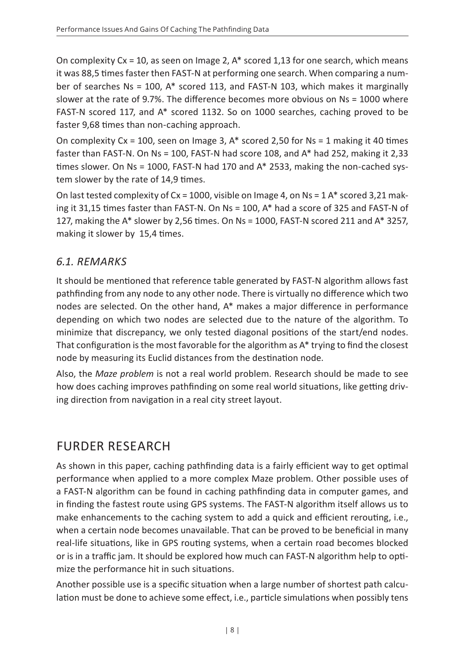On complexity  $Cx = 10$ , as seen on Image 2,  $A^*$  scored 1,13 for one search, which means it was 88,5 times faster then FAST-N at performing one search. When comparing a number of searches Ns = 100, A\* scored 113, and FAST-N 103, which makes it marginally slower at the rate of 9.7%. The difference becomes more obvious on Ns = 1000 where FAST-N scored 117, and A\* scored 1132. So on 1000 searches, caching proved to be faster 9,68 times than non-caching approach.

On complexity  $Cx = 100$ , seen on Image 3,  $A^*$  scored 2,50 for Ns = 1 making it 40 times faster than FAST-N. On Ns = 100, FAST-N had score 108, and A\* had 252, making it 2,33 times slower. On Ns = 1000, FAST-N had 170 and A\* 2533, making the non-cached system slower by the rate of 14,9 times.

On last tested complexity of  $Cx = 1000$ , visible on Image 4, on  $Ns = 1$  A\* scored 3,21 making it 31,15 times faster than FAST-N. On Ns = 100, A\* had a score of 325 and FAST-N of 127, making the A\* slower by 2,56 times. On Ns = 1000, FAST-N scored 211 and A\* 3257, making it slower by 15,4 times.

#### *6.1. REMARKS*

It should be mentioned that reference table generated by FAST-N algorithm allows fast pathfinding from any node to any other node. There is virtually no difference which two nodes are selected. On the other hand,  $A^*$  makes a major difference in performance depending on which two nodes are selected due to the nature of the algorithm. To minimize that discrepancy, we only tested diagonal positions of the start/end nodes. That configuration is the most favorable for the algorithm as A\* trying to find the closest node by measuring its Euclid distances from the destination node.

Also, the *Maze problem* is not a real world problem. Research should be made to see how does caching improves pathfinding on some real world situations, like getting driving direction from navigation in a real city street layout.

# FURDER RESEARCH

As shown in this paper, caching pathfinding data is a fairly efficient way to get optimal performance when applied to a more complex Maze problem. Other possible uses of a FAST-N algorithm can be found in caching pathfinding data in computer games, and in finding the fastest route using GPS systems. The FAST-N algorithm itself allows us to make enhancements to the caching system to add a quick and efficient rerouting, i.e., when a certain node becomes unavailable. That can be proved to be beneficial in many real-life situations, like in GPS routing systems, when a certain road becomes blocked or is in a traffic jam. It should be explored how much can FAST-N algorithm help to optimize the performance hit in such situations.

Another possible use is a specific situation when a large number of shortest path calculation must be done to achieve some effect, i.e., particle simulations when possibly tens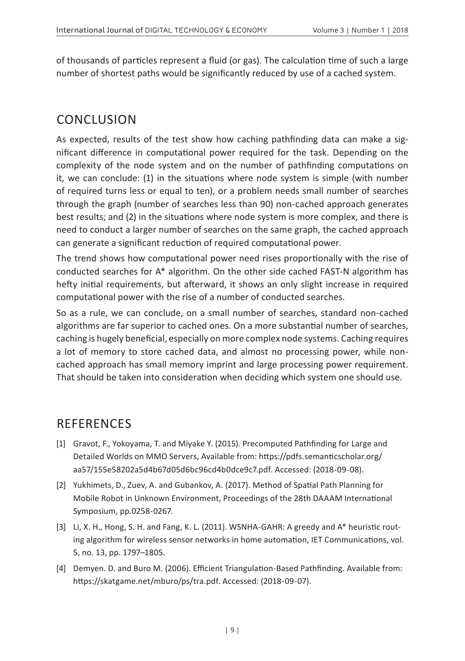of thousands of particles represent a fluid (or gas). The calculation time of such a large number of shortest paths would be significantly reduced by use of a cached system.

# CONCLUSION

As expected, results of the test show how caching pathfinding data can make a significant difference in computational power required for the task. Depending on the complexity of the node system and on the number of pathfinding computations on it, we can conclude: (1) in the situations where node system is simple (with number of required turns less or equal to ten), or a problem needs small number of searches through the graph (number of searches less than 90) non-cached approach generates best results; and (2) in the situations where node system is more complex, and there is need to conduct a larger number of searches on the same graph, the cached approach can generate a significant reduction of required computational power.

The trend shows how computational power need rises proportionally with the rise of conducted searches for A\* algorithm. On the other side cached FAST-N algorithm has hefty initial requirements, but afterward, it shows an only slight increase in required computational power with the rise of a number of conducted searches.

So as a rule, we can conclude, on a small number of searches, standard non-cached algorithms are far superior to cached ones. On a more substantial number of searches, caching is hugely beneficial, especially on more complex node systems. Caching requires a lot of memory to store cached data, and almost no processing power, while noncached approach has small memory imprint and large processing power requirement. That should be taken into consideration when deciding which system one should use.

## REFERENCES

- [1] Gravot, F., Yokoyama, T. and Miyake Y. (2015). Precomputed Pathfinding for Large and Detailed Worlds on MMO Servers, Available from: https://pdfs.semanticscholar.org/ aa57/155e58202a5d4b67d05d6bc96cd4b0dce9c7.pdf. Accessed: (2018-09-08).
- [2] Yukhimets, D., Zuev, A. and Gubankov, A. (2017). Method of Spatial Path Planning for Mobile Robot in Unknown Environment, Proceedings of the 28th DAAAM International Symposium, pp.0258-0267.
- [3] Li, X. H., Hong, S. H. and Fang, K. L. (2011). WSNHA-GAHR: A greedy and A\* heuristic routing algorithm for wireless sensor networks in home automation, IET Communications, vol. 5, no. 13, pp. 1797–1805.
- [4] Demyen. D. and Buro M. (2006). Efficient Triangulation-Based Pathfinding. Available from: https://skatgame.net/mburo/ps/tra.pdf. Accessed: (2018-09-07).